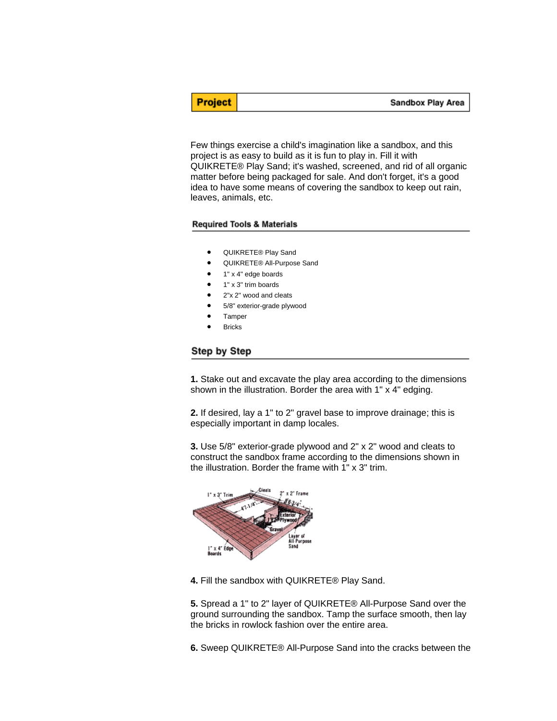Sandbox Play Area

Few things exercise a child's imagination like a sandbox, and this project is as easy to build as it is fun to play in. Fill it with QUIKRETE® Play Sand; it's washed, screened, and rid of all organic matter before being packaged for sale. And don't forget, it's a good idea to have some means of covering the sandbox to keep out rain, leaves, animals, etc.

## **Required Tools & Materials**

**Project** 

- QUIKRETE® Play Sand
- QUIKRETE® All-Purpose Sand
- 1" x 4" edge boards
- 1" x 3" trim boards
- 2"x 2" wood and cleats
- 5/8" exterior-grade plywood
- **Tamper**
- **Bricks**

## Step by Step

**1.** Stake out and excavate the play area according to the dimensions shown in the illustration. Border the area with 1" x 4" edging.

**2.** If desired, lay a 1" to 2" gravel base to improve drainage; this is especially important in damp locales.

**3.** Use 5/8" exterior-grade plywood and 2" x 2" wood and cleats to construct the sandbox frame according to the dimensions shown in the illustration. Border the frame with 1" x 3" trim.



**4.** Fill the sandbox with QUIKRETE® Play Sand.

**5.** Spread a 1" to 2" layer of QUIKRETE® All-Purpose Sand over the ground surrounding the sandbox. Tamp the surface smooth, then lay the bricks in rowlock fashion over the entire area.

**6.** Sweep QUIKRETE® All-Purpose Sand into the cracks between the